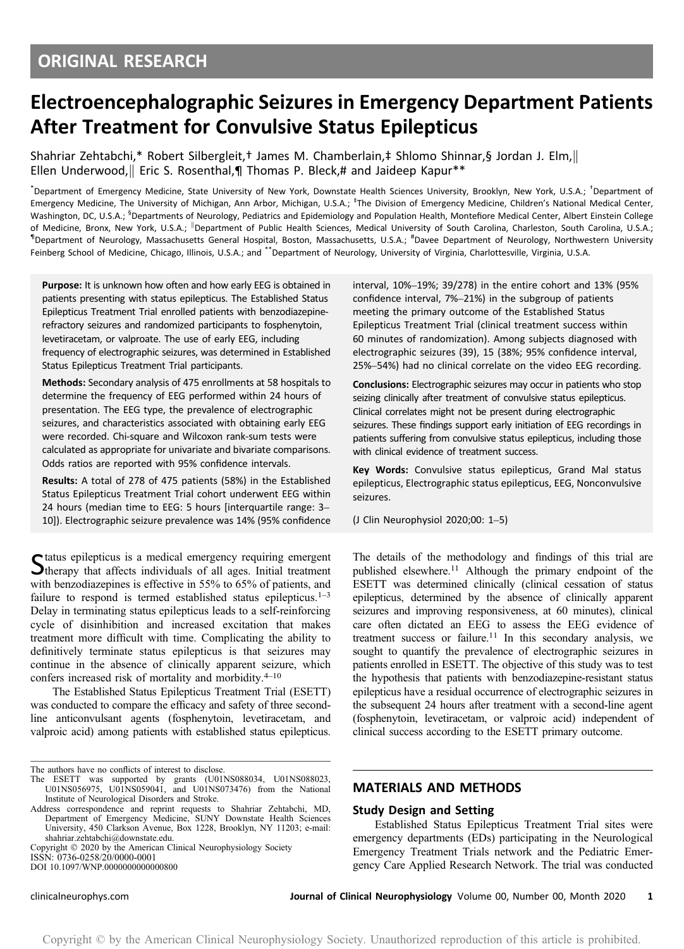# Electroencephalographic Seizures in Emergency Department Patients After Treatment for Convulsive Status Epilepticus

Shahriar Zehtabchi,\* Robert Silbergleit,† James M. Chamberlain,‡ Shlomo Shinnar,§ Jordan J. Elm,k Ellen Underwood, Eric S. Rosenthal,¶ Thomas P. Bleck,# and Jaideep Kapur\*\*

\* Department of Emergency Medicine, State University of New York, Downstate Health Sciences University, Brooklyn, New York, U.S.A.; † Department of Emergency Medicine, The University of Michigan, Ann Arbor, Michigan, U.S.A.; <sup>‡</sup>The Division of Emergency Medicine, Children's National Medical Center, Washington, DC, U.S.A.; <sup>5</sup>Departments of Neurology, Pediatrics and Epidemiology and Population Health, Montefiore Medical Center, Albert Einstein College of Medicine, Bronx, New York, U.S.A.; <sup>|</sup>Department of Public Health Sciences, Medical University of South Carolina, Charleston, South Carolina, U.S.A.; <sup>1</sup>Department of Neurology, Massachusetts General Hospital, Boston, Massachusetts, U.S.A.; <sup>#</sup>Davee Department of Neurology, Northwestern University Feinberg School of Medicine, Chicago, Illinois, U.S.A.; and \*\*Department of Neurology, University of Virginia, Charlottesville, Virginia, U.S.A.

Purpose: It is unknown how often and how early EEG is obtained in patients presenting with status epilepticus. The Established Status Epilepticus Treatment Trial enrolled patients with benzodiazepinerefractory seizures and randomized participants to fosphenytoin, levetiracetam, or valproate. The use of early EEG, including frequency of electrographic seizures, was determined in Established Status Epilepticus Treatment Trial participants.

Methods: Secondary analysis of 475 enrollments at 58 hospitals to determine the frequency of EEG performed within 24 hours of presentation. The EEG type, the prevalence of electrographic seizures, and characteristics associated with obtaining early EEG were recorded. Chi-square and Wilcoxon rank-sum tests were calculated as appropriate for univariate and bivariate comparisons. Odds ratios are reported with 95% confidence intervals.

Results: A total of 278 of 475 patients (58%) in the Established Status Epilepticus Treatment Trial cohort underwent EEG within 24 hours (median time to EEG: 5 hours [interquartile range: 3– 10]). Electrographic seizure prevalence was 14% (95% confidence

Status epilepticus is a medical emergency requiring emergent<br>
Stherapy that affects individuals of all ages. Initial treatment with benzodiazepines is effective in 55% to 65% of patients, and failure to respond is termed established status epilepticus.<sup>1–3</sup> Delay in terminating status epilepticus leads to a self-reinforcing cycle of disinhibition and increased excitation that makes treatment more difficult with time. Complicating the ability to definitively terminate status epilepticus is that seizures may continue in the absence of clinically apparent seizure, which confers increased risk of mortality and morbidity.4–<sup>10</sup>

The Established Status Epilepticus Treatment Trial (ESETT) was conducted to compare the efficacy and safety of three secondline anticonvulsant agents (fosphenytoin, levetiracetam, and valproic acid) among patients with established status epilepticus.

Copyright  $©$  2020 by the American Clinical Neurophysiology Society ISSN: 0736-0258/20/0000-0001

DOI 10.1097/WNP.0000000000000800

interval, 10%–19%; 39/278) in the entire cohort and 13% (95% confidence interval, 7%–21%) in the subgroup of patients meeting the primary outcome of the Established Status Epilepticus Treatment Trial (clinical treatment success within 60 minutes of randomization). Among subjects diagnosed with electrographic seizures (39), 15 (38%; 95% confidence interval, 25%–54%) had no clinical correlate on the video EEG recording.

Conclusions: Electrographic seizures may occur in patients who stop seizing clinically after treatment of convulsive status epilepticus. Clinical correlates might not be present during electrographic seizures. These findings support early initiation of EEG recordings in patients suffering from convulsive status epilepticus, including those with clinical evidence of treatment success.

Key Words: Convulsive status epilepticus, Grand Mal status epilepticus, Electrographic status epilepticus, EEG, Nonconvulsive seizures.

(J Clin Neurophysiol 2020;00: 1–5)

The details of the methodology and findings of this trial are published elsewhere.<sup>11</sup> Although the primary endpoint of the ESETT was determined clinically (clinical cessation of status epilepticus, determined by the absence of clinically apparent seizures and improving responsiveness, at 60 minutes), clinical care often dictated an EEG to assess the EEG evidence of treatment success or failure.<sup>11</sup> In this secondary analysis, we sought to quantify the prevalence of electrographic seizures in patients enrolled in ESETT. The objective of this study was to test the hypothesis that patients with benzodiazepine-resistant status epilepticus have a residual occurrence of electrographic seizures in the subsequent 24 hours after treatment with a second-line agent (fosphenytoin, levetiracetam, or valproic acid) independent of clinical success according to the ESETT primary outcome.

## MATERIALS AND METHODS

#### Study Design and Setting

Established Status Epilepticus Treatment Trial sites were emergency departments (EDs) participating in the Neurological Emergency Treatment Trials network and the Pediatric Emergency Care Applied Research Network. The trial was conducted

The authors have no conflicts of interest to disclose.

The ESETT was supported by grants (U01NS088034, U01NS088023, U01NS056975, U01NS059041, and U01NS073476) from the National Institute of Neurological Disorders and Stroke.

Address correspondence and reprint requests to Shahriar Zehtabchi, MD, Department of Emergency Medicine, SUNY Downstate Health Sciences University, 450 Clarkson Avenue, Box 1228, Brooklyn, NY 11203; e-mail: [shahriar.zehtabchi@downstate.edu](mailto:shahriar.zehtabchi@downstate.edu).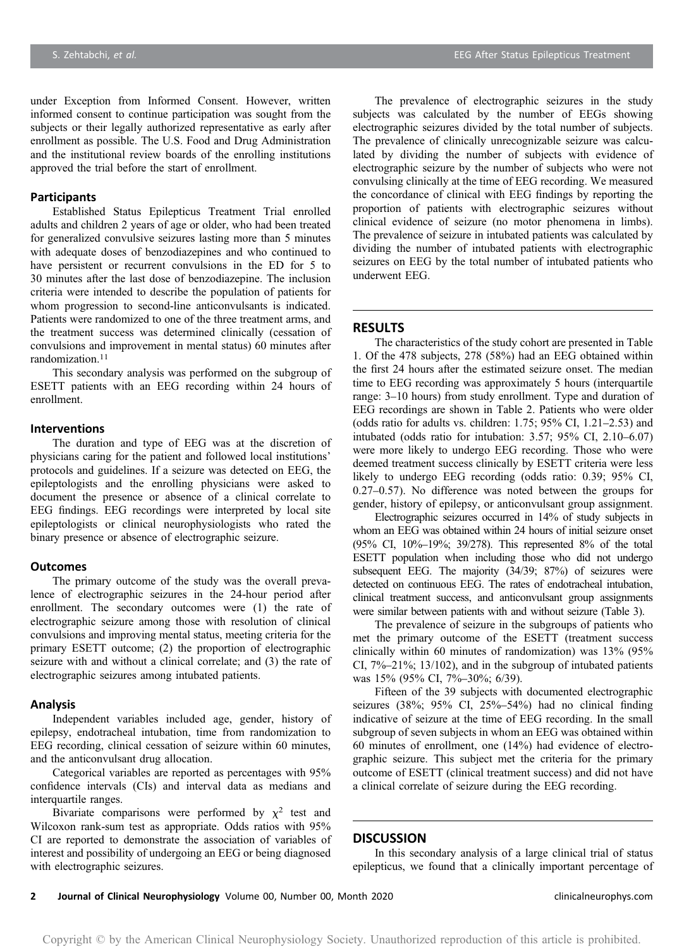under Exception from Informed Consent. However, written informed consent to continue participation was sought from the subjects or their legally authorized representative as early after enrollment as possible. The U.S. Food and Drug Administration and the institutional review boards of the enrolling institutions approved the trial before the start of enrollment.

# Participants

Established Status Epilepticus Treatment Trial enrolled adults and children 2 years of age or older, who had been treated for generalized convulsive seizures lasting more than 5 minutes with adequate doses of benzodiazepines and who continued to have persistent or recurrent convulsions in the ED for 5 to 30 minutes after the last dose of benzodiazepine. The inclusion criteria were intended to describe the population of patients for whom progression to second-line anticonvulsants is indicated. Patients were randomized to one of the three treatment arms, and the treatment success was determined clinically (cessation of convulsions and improvement in mental status) 60 minutes after randomization.<sup>11</sup>

This secondary analysis was performed on the subgroup of ESETT patients with an EEG recording within 24 hours of enrollment.

#### Interventions

The duration and type of EEG was at the discretion of physicians caring for the patient and followed local institutions' protocols and guidelines. If a seizure was detected on EEG, the epileptologists and the enrolling physicians were asked to document the presence or absence of a clinical correlate to EEG findings. EEG recordings were interpreted by local site epileptologists or clinical neurophysiologists who rated the binary presence or absence of electrographic seizure.

#### **Outcomes**

The primary outcome of the study was the overall prevalence of electrographic seizures in the 24-hour period after enrollment. The secondary outcomes were (1) the rate of electrographic seizure among those with resolution of clinical convulsions and improving mental status, meeting criteria for the primary ESETT outcome; (2) the proportion of electrographic seizure with and without a clinical correlate; and (3) the rate of electrographic seizures among intubated patients.

#### Analysis

Independent variables included age, gender, history of epilepsy, endotracheal intubation, time from randomization to EEG recording, clinical cessation of seizure within 60 minutes, and the anticonvulsant drug allocation.

Categorical variables are reported as percentages with 95% confidence intervals (CIs) and interval data as medians and interquartile ranges.

Bivariate comparisons were performed by  $\chi^2$  test and Wilcoxon rank-sum test as appropriate. Odds ratios with 95% CI are reported to demonstrate the association of variables of interest and possibility of undergoing an EEG or being diagnosed with electrographic seizures.

The prevalence of electrographic seizures in the study subjects was calculated by the number of EEGs showing electrographic seizures divided by the total number of subjects. The prevalence of clinically unrecognizable seizure was calculated by dividing the number of subjects with evidence of electrographic seizure by the number of subjects who were not convulsing clinically at the time of EEG recording. We measured the concordance of clinical with EEG findings by reporting the proportion of patients with electrographic seizures without clinical evidence of seizure (no motor phenomena in limbs). The prevalence of seizure in intubated patients was calculated by dividing the number of intubated patients with electrographic seizures on EEG by the total number of intubated patients who underwent EEG.

## **RESULTS**

The characteristics of the study cohort are presented in Table 1. Of the 478 subjects, 278 (58%) had an EEG obtained within the first 24 hours after the estimated seizure onset. The median time to EEG recording was approximately 5 hours (interquartile range: 3–10 hours) from study enrollment. Type and duration of EEG recordings are shown in Table 2. Patients who were older (odds ratio for adults vs. children: 1.75; 95% CI, 1.21–2.53) and intubated (odds ratio for intubation: 3.57; 95% CI, 2.10–6.07) were more likely to undergo EEG recording. Those who were deemed treatment success clinically by ESETT criteria were less likely to undergo EEG recording (odds ratio: 0.39; 95% CI, 0.27–0.57). No difference was noted between the groups for gender, history of epilepsy, or anticonvulsant group assignment.

Electrographic seizures occurred in 14% of study subjects in whom an EEG was obtained within 24 hours of initial seizure onset (95% CI, 10%–19%; 39/278). This represented 8% of the total ESETT population when including those who did not undergo subsequent EEG. The majority (34/39; 87%) of seizures were detected on continuous EEG. The rates of endotracheal intubation, clinical treatment success, and anticonvulsant group assignments were similar between patients with and without seizure (Table 3).

The prevalence of seizure in the subgroups of patients who met the primary outcome of the ESETT (treatment success clinically within 60 minutes of randomization) was 13% (95% CI, 7%–21%; 13/102), and in the subgroup of intubated patients was 15% (95% CI, 7%–30%; 6/39).

Fifteen of the 39 subjects with documented electrographic seizures (38%; 95% CI, 25%–54%) had no clinical finding indicative of seizure at the time of EEG recording. In the small subgroup of seven subjects in whom an EEG was obtained within 60 minutes of enrollment, one (14%) had evidence of electrographic seizure. This subject met the criteria for the primary outcome of ESETT (clinical treatment success) and did not have a clinical correlate of seizure during the EEG recording.

#### **DISCUSSION**

In this secondary analysis of a large clinical trial of status epilepticus, we found that a clinically important percentage of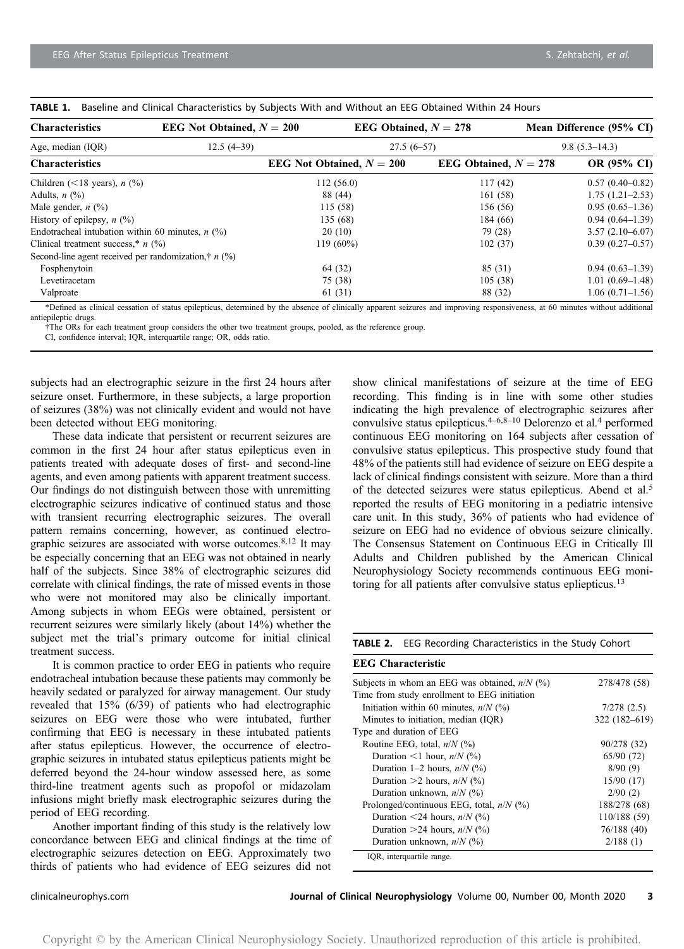| <b>Characteristics</b>                                           | EEG Not Obtained, $N = 200$ | EEG Obtained, $N = 278$     |                         |                   | Mean Difference (95% CI) |  |
|------------------------------------------------------------------|-----------------------------|-----------------------------|-------------------------|-------------------|--------------------------|--|
| Age, median (IQR)                                                | $12.5(4-39)$                | $27.5(6-57)$                |                         | $9.8(5.3 - 14.3)$ |                          |  |
| <b>Characteristics</b>                                           |                             | EEG Not Obtained, $N = 200$ | EEG Obtained, $N = 278$ |                   | OR (95% CI)              |  |
| Children (<18 years), $n$ (%)                                    |                             | 112(56.0)                   | 117(42)                 |                   | $0.57(0.40 - 0.82)$      |  |
| Adults, $n$ $(\%)$                                               |                             | 88 (44)                     | 161 (58)                |                   | $1.75(1.21 - 2.53)$      |  |
| Male gender, $n$ (%)                                             |                             | 115(58)                     | 156 (56)                |                   | $0.95(0.65-1.36)$        |  |
| History of epilepsy, $n$ (%)                                     |                             | 135 (68)                    | 184 (66)                |                   | $0.94(0.64-1.39)$        |  |
| Endotracheal intubation within 60 minutes, $n$ (%)               |                             | 20(10)                      | 79 (28)                 |                   | $3.57(2.10-6.07)$        |  |
| Clinical treatment success,* $n$ (%)                             |                             | $119(60\%)$                 | 102(37)                 |                   | $0.39(0.27 - 0.57)$      |  |
| Second-line agent received per randomization, $\dot{\tau}$ n (%) |                             |                             |                         |                   |                          |  |
| Fosphenytoin                                                     |                             | 64 (32)                     | 85 (31)                 |                   | $0.94(0.63 - 1.39)$      |  |
| Levetiracetam                                                    |                             | 75 (38)                     | 105(38)                 |                   | $1.01(0.69-1.48)$        |  |
| Valproate                                                        |                             | 61(31)                      | 88 (32)                 |                   | $1.06(0.71-1.56)$        |  |

TABLE 1. Baseline and Clinical Characteristics by Subjects With and Without an EEG Obtained Within 24 Hours

\*Defined as clinical cessation of status epilepticus, determined by the absence of clinically apparent seizures and improving responsiveness, at 60 minutes without additional antiepileptic drugs.

†The ORs for each treatment group considers the other two treatment groups, pooled, as the reference group.

CI, confidence interval; IQR, interquartile range; OR, odds ratio.

subjects had an electrographic seizure in the first 24 hours after seizure onset. Furthermore, in these subjects, a large proportion of seizures (38%) was not clinically evident and would not have been detected without EEG monitoring.

These data indicate that persistent or recurrent seizures are common in the first 24 hour after status epilepticus even in patients treated with adequate doses of first- and second-line agents, and even among patients with apparent treatment success. Our findings do not distinguish between those with unremitting electrographic seizures indicative of continued status and those with transient recurring electrographic seizures. The overall pattern remains concerning, however, as continued electrographic seizures are associated with worse outcomes.8,12 It may be especially concerning that an EEG was not obtained in nearly half of the subjects. Since 38% of electrographic seizures did correlate with clinical findings, the rate of missed events in those who were not monitored may also be clinically important. Among subjects in whom EEGs were obtained, persistent or recurrent seizures were similarly likely (about 14%) whether the subject met the trial's primary outcome for initial clinical treatment success.

It is common practice to order EEG in patients who require endotracheal intubation because these patients may commonly be heavily sedated or paralyzed for airway management. Our study revealed that 15% (6/39) of patients who had electrographic seizures on EEG were those who were intubated, further confirming that EEG is necessary in these intubated patients after status epilepticus. However, the occurrence of electrographic seizures in intubated status epilepticus patients might be deferred beyond the 24-hour window assessed here, as some third-line treatment agents such as propofol or midazolam infusions might briefly mask electrographic seizures during the period of EEG recording.

Another important finding of this study is the relatively low concordance between EEG and clinical findings at the time of electrographic seizures detection on EEG. Approximately two thirds of patients who had evidence of EEG seizures did not

show clinical manifestations of seizure at the time of EEG recording. This finding is in line with some other studies indicating the high prevalence of electrographic seizures after convulsive status epilepticus.4–6,8–<sup>10</sup> Delorenzo et al.<sup>4</sup> performed continuous EEG monitoring on 164 subjects after cessation of convulsive status epilepticus. This prospective study found that 48% of the patients still had evidence of seizure on EEG despite a lack of clinical findings consistent with seizure. More than a third of the detected seizures were status epilepticus. Abend et al.<sup>5</sup> reported the results of EEG monitoring in a pediatric intensive care unit. In this study, 36% of patients who had evidence of seizure on EEG had no evidence of obvious seizure clinically. The Consensus Statement on Continuous EEG in Critically Ill Adults and Children published by the American Clinical Neurophysiology Society recommends continuous EEG monitoring for all patients after convulsive status epliepticus.<sup>13</sup>

#### TABLE 2. EEG Recording Characteristics in the Study Cohort

#### EEG Characteristic

| Subjects in whom an EEG was obtained, $n/N$ (%) | 278/478 (58)  |
|-------------------------------------------------|---------------|
| Time from study enrollment to EEG initiation    |               |
| Initiation within 60 minutes, $n/N$ (%)         | 7/278(2.5)    |
| Minutes to initiation, median (IQR)             | 322 (182-619) |
| Type and duration of EEG                        |               |
| Routine EEG, total, $n/N$ (%)                   | 90/278 (32)   |
| Duration <1 hour, $n/N$ (%)                     | 65/90 (72)    |
| Duration 1–2 hours, $n/N$ (%)                   | 8/90(9)       |
| Duration >2 hours, $n/N$ (%)                    | 15/90(17)     |
| Duration unknown, $n/N$ (%)                     | 2/90(2)       |
| Prolonged/continuous EEG, total, $n/N$ (%)      | 188/278 (68)  |
| Duration <24 hours, $n/N$ (%)                   | 110/188 (59)  |
| Duration > 24 hours, $n/N$ (%)                  | 76/188(40)    |
| Duration unknown, $n/N$ (%)                     | 2/188(1)      |
| IOR, interquartile range.                       |               |
|                                                 |               |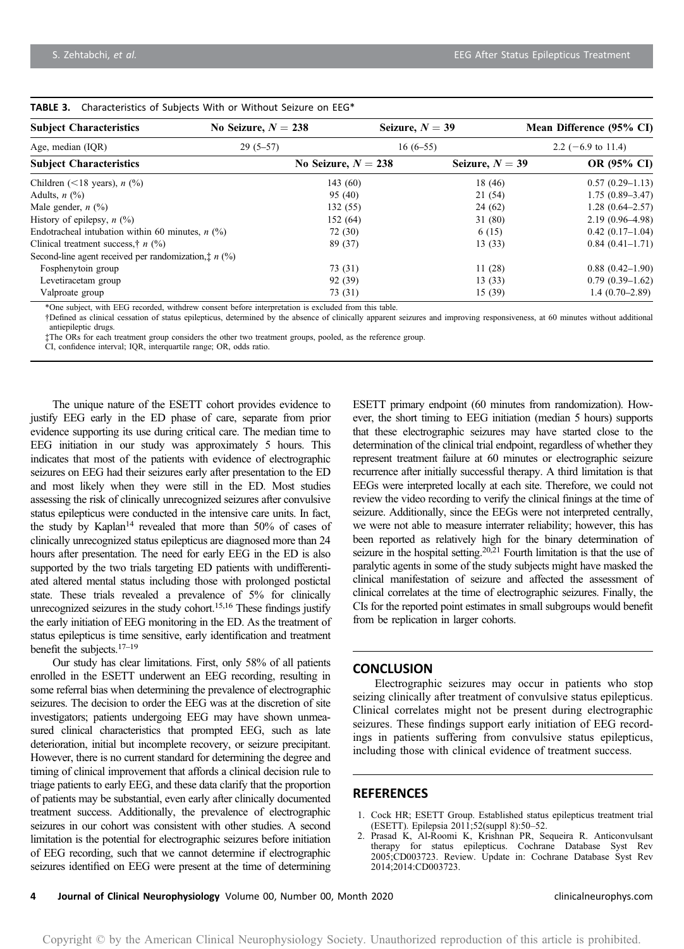| <b>Subject Characteristics</b>                                 | No Seizure, $N = 238$ | Seizure, $N = 39$     |                   | Mean Difference (95% CI)      |  |
|----------------------------------------------------------------|-----------------------|-----------------------|-------------------|-------------------------------|--|
| Age, median (IQR)                                              | $29(5-57)$            | $16(6-55)$            |                   | 2.2 $(-6.9 \text{ to } 11.4)$ |  |
| <b>Subject Characteristics</b>                                 |                       | No Seizure, $N = 238$ | Seizure, $N = 39$ | OR (95% CI)                   |  |
| Children (<18 years), $n$ (%)                                  |                       | 143(60)               | 18 (46)           | $0.57(0.29-1.13)$             |  |
| Adults, $n$ $(\%)$                                             |                       | 95 (40)               | 21 (54)           | $1.75(0.89 - 3.47)$           |  |
| Male gender, $n$ $(\%)$                                        |                       | 132(55)               | 24(62)            | $1.28(0.64 - 2.57)$           |  |
| History of epilepsy, $n$ (%)                                   |                       | 152 (64)              | 31(80)            | 2.19 (0.96–4.98)              |  |
| Endotracheal intubation within 60 minutes, $n$ (%)             |                       | 72 (30)               | 6(15)             | $0.42(0.17-1.04)$             |  |
| Clinical treatment success, $\dot{\tau}$ n (%)                 |                       | 89 (37)               | 13(33)            | $0.84(0.41-1.71)$             |  |
| Second-line agent received per randomization, $\ddagger n$ (%) |                       |                       |                   |                               |  |
| Fosphenytoin group                                             |                       | 73 (31)               | 11(28)            | $0.88(0.42 - 1.90)$           |  |
| Levetiracetam group                                            |                       | 92 (39)               | 13(33)            | $0.79(0.39-1.62)$             |  |
| Valproate group                                                |                       | 73 (31)               | 15(39)            | $1.4(0.70-2.89)$              |  |

#### TABLE 3. Characteristics of Subjects With or Without Seizure on EEG\*

\*One subject, with EEG recorded, withdrew consent before interpretation is excluded from this table.

†Defined as clinical cessation of status epilepticus, determined by the absence of clinically apparent seizures and improving responsiveness, at 60 minutes without additional antiepileptic drugs.

‡The ORs for each treatment group considers the other two treatment groups, pooled, as the reference group.

CI, confidence interval; IQR, interquartile range; OR, odds ratio.

The unique nature of the ESETT cohort provides evidence to justify EEG early in the ED phase of care, separate from prior evidence supporting its use during critical care. The median time to EEG initiation in our study was approximately 5 hours. This indicates that most of the patients with evidence of electrographic seizures on EEG had their seizures early after presentation to the ED and most likely when they were still in the ED. Most studies assessing the risk of clinically unrecognized seizures after convulsive status epilepticus were conducted in the intensive care units. In fact, the study by Kaplan<sup>14</sup> revealed that more than 50% of cases of clinically unrecognized status epilepticus are diagnosed more than 24 hours after presentation. The need for early EEG in the ED is also supported by the two trials targeting ED patients with undifferentiated altered mental status including those with prolonged postictal state. These trials revealed a prevalence of 5% for clinically unrecognized seizures in the study cohort.<sup>15,16</sup> These findings justify the early initiation of EEG monitoring in the ED. As the treatment of status epilepticus is time sensitive, early identification and treatment benefit the subjects.<sup>17-19</sup>

Our study has clear limitations. First, only 58% of all patients enrolled in the ESETT underwent an EEG recording, resulting in some referral bias when determining the prevalence of electrographic seizures. The decision to order the EEG was at the discretion of site investigators; patients undergoing EEG may have shown unmeasured clinical characteristics that prompted EEG, such as late deterioration, initial but incomplete recovery, or seizure precipitant. However, there is no current standard for determining the degree and timing of clinical improvement that affords a clinical decision rule to triage patients to early EEG, and these data clarify that the proportion of patients may be substantial, even early after clinically documented treatment success. Additionally, the prevalence of electrographic seizures in our cohort was consistent with other studies. A second limitation is the potential for electrographic seizures before initiation of EEG recording, such that we cannot determine if electrographic seizures identified on EEG were present at the time of determining ESETT primary endpoint (60 minutes from randomization). However, the short timing to EEG initiation (median 5 hours) supports that these electrographic seizures may have started close to the determination of the clinical trial endpoint, regardless of whether they represent treatment failure at 60 minutes or electrographic seizure recurrence after initially successful therapy. A third limitation is that EEGs were interpreted locally at each site. Therefore, we could not review the video recording to verify the clinical finings at the time of seizure. Additionally, since the EEGs were not interpreted centrally, we were not able to measure interrater reliability; however, this has been reported as relatively high for the binary determination of seizure in the hospital setting.<sup>20,21</sup> Fourth limitation is that the use of paralytic agents in some of the study subjects might have masked the clinical manifestation of seizure and affected the assessment of clinical correlates at the time of electrographic seizures. Finally, the CIs for the reported point estimates in small subgroups would benefit from be replication in larger cohorts.

## **CONCLUSION**

Electrographic seizures may occur in patients who stop seizing clinically after treatment of convulsive status epilepticus. Clinical correlates might not be present during electrographic seizures. These findings support early initiation of EEG recordings in patients suffering from convulsive status epilepticus, including those with clinical evidence of treatment success.

# **REFERENCES**

- 1. Cock HR; ESETT Group. Established status epilepticus treatment trial (ESETT). Epilepsia 2011;52(suppl 8):50–52.
- 2. Prasad K, Al-Roomi K, Krishnan PR, Sequeira R. Anticonvulsant therapy for status epilepticus. Cochrane Database Syst Rev 2005;CD003723. Review. Update in: Cochrane Database Syst Rev 2014;2014:CD003723.

4 Journal of Clinical Neurophysiology Volume 00, Number 00, Month 2020 clinicalneurophys.com